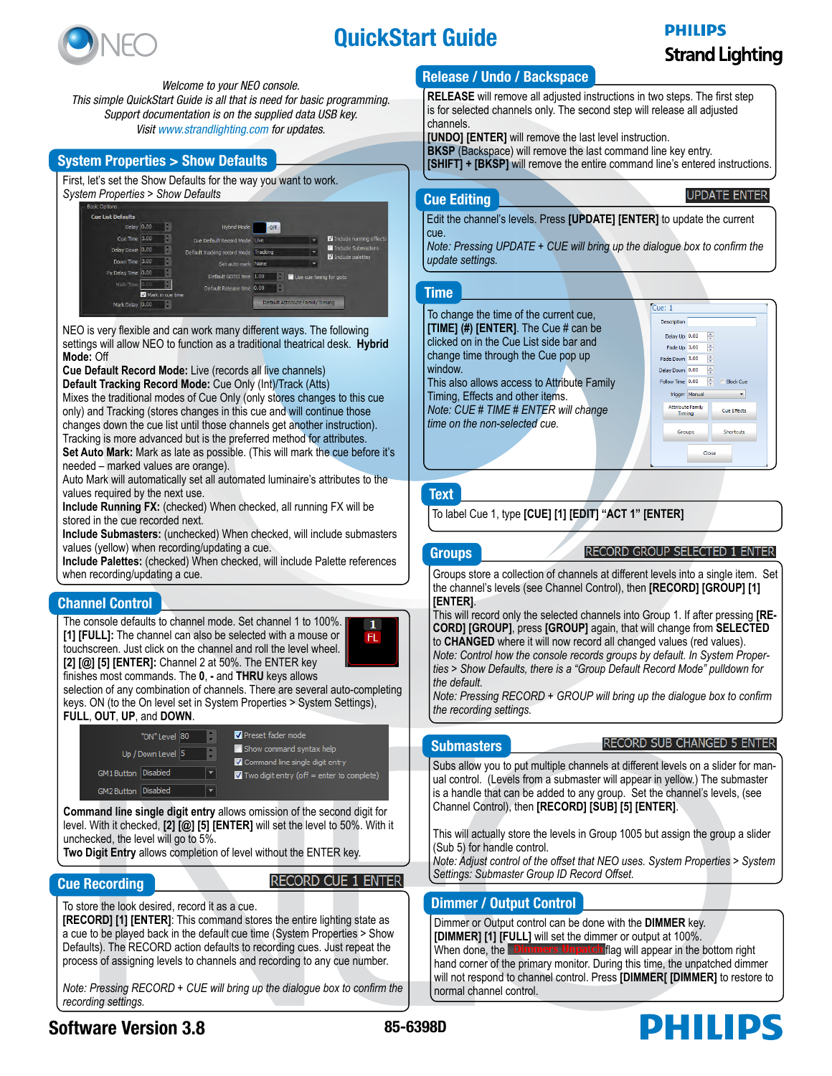

# QuickStart Guide

# **PHILIPS Strand Lighting**

**UPDATE ENTER** 

*Welcome to your NEO console. This simple QuickStart Guide is all that is need for basic programming. Support documentation is on the supplied data USB key. Visit [www.strandlighting.com](http://www.strandlighting.com) for updates.*

#### System Properties > Show Defaults

First. let's set the Show Defaults for the way you want to work. *System Properties > Show Defaults*

| <b>Basic Cotions</b>     |                  |                                       |            |                                 |                         |
|--------------------------|------------------|---------------------------------------|------------|---------------------------------|-------------------------|
| <b>Cue List Defaults</b> |                  |                                       |            |                                 |                         |
| Delay 0.00               |                  | <b>Hybrid Mode</b>                    | <b>Off</b> |                                 |                         |
| Cue Time 3.00            | ÷.               | Cue Default Record Mode Live          |            |                                 | Include running effects |
| Delay Down 0.00          | H                | Default tracking record mode Tracking |            |                                 | Include Submasters      |
| Down Time 3.00           | H                | Set auto mark None                    |            |                                 | Include palettes        |
| Fx Delay Time 0.00       | Ş.               | Default GOTO time 1.00                |            | Use are timing for goto         |                         |
| Mark Time 0.00           |                  | Default Release time 0.00             |            |                                 |                         |
|                          | Mark in cue time |                                       |            |                                 |                         |
| Mark Delay 0.00          | ÷                |                                       |            | Default Attribute Family Timing |                         |

NEO is very flexible and can work many different ways. The following settings will allow NEO to function as a traditional theatrical desk. **Hybrid Mode:** Off

**Cue Default Record Mode:** Live (records all live channels)

**Default Tracking Record Mode:** Cue Only (Int)/Track (Atts) Mixes the traditional modes of Cue Only (only stores changes to this cue only) and Tracking (stores changes in this cue and will continue those changes down the cue list until those channels get another instruction). Tracking is more advanced but is the preferred method for attributes. **Set Auto Mark:** Mark as late as possible. (This will mark the cue before it's needed – marked values are orange).

Auto Mark will automatically set all automated luminaire's attributes to the values required by the next use.

**Include Running FX:** (checked) When checked, all running FX will be stored in the cue recorded next.

**Include Submasters:** (unchecked) When checked, will include submasters values (yellow) when recording/updating a cue.

**Include Palettes:** (checked) When checked, will include Palette references when recording/updating a cue.

# Channel Control

The console defaults to channel mode. Set channel 1 to 100%. **[1] [FULL]:** The channel can also be selected with a mouse or touchscreen. Just click on the channel and roll the level wheel. **[2] [@] [5] [ENTER]:** Channel 2 at 50%. The ENTER key



selection of any combination of channels. There are several auto-completing keys. ON (to the On level set in System Properties > System Settings), **FULL**, **OUT**, **UP**, and **DOWN**.

#### Preset fader mode "ON" Level 80 Show command syntax help Up / Down Level 5 T Command line single digit entry  $GM1$  Button Disabled  $|\mathbf{v}|$ Two digit entry (off = enter to complete) GM2 Button Disabled

**Command line single digit entry** allows omission of the second digit for level. With it checked, **[2] [@] [5] [ENTER]** will set the level to 50%. With it unchecked, the level will go to 5%.

**Two Digit Entry** allows completion of level without the ENTER key.

### Cue Recording

**RECORD CUE 1 ENTER** 

 $\mathbf{1}$ FL.

To store the look desired, record it as a cue.

**[RECORD] [1] [ENTER]**: This command stores the entire lighting state as a cue to be played back in the default cue time (System Properties > Show Defaults). The RECORD action defaults to recording cues. Just repeat the process of assigning levels to channels and recording to any cue number.

*Note: Pressing RECORD + CUE will bring up the dialogue box to confirm the recording settings.*

## Release / Undo / Backspace

**RELEASE** will remove all adjusted instructions in two steps. The first step is for selected channels only. The second step will release all adjusted channels.

**[UNDO] [ENTER]** will remove the last level instruction.

**BKSP** (Backspace) will remove the last command line key entry.

**[SHIFT] + [BKSP]** will remove the entire command line's entered instructions.

Cue Editing

Edit the channel's levels. Press **[UPDATE] [ENTER]** to update the current cue.

*Note: Pressing UPDATE + CUE will bring up the dialogue box to confirm the update settings.*

### Time



## **Text**

To label Cue 1, type **[CUE] [1] [EDIT] "ACT 1" [ENTER]**

### **Groups**

#### RECORD GROUP SELECTED 1 ENTER

Groups store a collection of channels at different levels into a single item. Set the channel's levels (see Channel Control), then **[RECORD] [GROUP] [1] [ENTER]**.

This will record only the selected channels into Group 1. If after pressing **[RE-CORD] [GROUP]**, press **[GROUP]** again, that will change from **SELECTED** to **CHANGED** where it will now record all changed values (red values). *Note: Control how the console records groups by default. In System Properties > Show Defaults, there is a "Group Default Record Mode" pulldown for the default.*

*Note: Pressing RECORD + GROUP will bring up the dialogue box to confirm the recording settings.*

### **Submasters**

#### **RECORD SUB CHANGED 5 ENTER**

**DHILIDS** 

Subs allow you to put multiple channels at different levels on a slider for manual control. (Levels from a submaster will appear in yellow.) The submaster is a handle that can be added to any group. Set the channel's levels, (see Channel Control), then **[RECORD] [SUB] [5] [ENTER]**.

This will actually store the levels in Group 1005 but assign the group a slider (Sub 5) for handle control.

*Note: Adjust control of the offset that NEO uses. System Properties > System Settings: Submaster Group ID Record Offset.*

# Dimmer / Output Control

Dimmer or Output control can be done with the **DIMMER** key. **[DIMMER] [1] [FULL]** will set the dimmer or output at 100%. When done, the **Dimmers Unpatch flag will appear in the bottom right** hand corner of the primary monitor. During this time, the unpatched dimmer will not respond to channel control. Press **[DIMMER[ [DIMMER]** to restore to normal channel control.